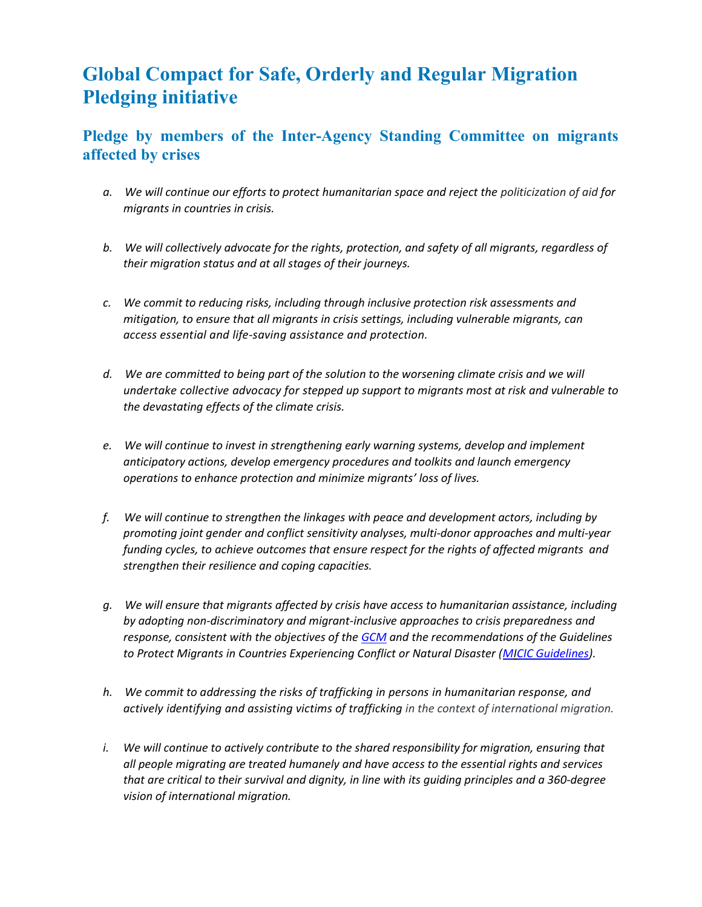## Global Compact for Safe, Orderly and Regular Migration Pledging initiative

## Pledge by members of the Inter-Agency Standing Committee on migrants affected by crises

- a. We will continue our efforts to protect humanitarian space and reject the politicization of aid for migrants in countries in crisis.
- b. We will collectively advocate for the rights, protection, and safety of all migrants, regardless of their migration status and at all stages of their journeys.
- c. We commit to reducing risks, including through inclusive protection risk assessments and mitigation, to ensure that all migrants in crisis settings, including vulnerable migrants, can access essential and life-saving assistance and protection.
- d. We are committed to being part of the solution to the worsening climate crisis and we will undertake collective advocacy for stepped up support to migrants most at risk and vulnerable to the devastating effects of the climate crisis.
- e. We will continue to invest in strengthening early warning systems, develop and implement anticipatory actions, develop emergency procedures and toolkits and launch emergency operations to enhance protection and minimize migrants' loss of lives.
- f. We will continue to strengthen the linkages with peace and development actors, including by promoting joint gender and conflict sensitivity analyses, multi-donor approaches and multi-year funding cycles, to achieve outcomes that ensure respect for the rights of affected migrants and strengthen their resilience and coping capacities.
- g. We will ensure that migrants affected by crisis have access to humanitarian assistance, including by adopting non-discriminatory and migrant-inclusive approaches to crisis preparedness and response, consistent with the objectives of the GCM and the recommendations of the Guidelines to Protect Migrants in Countries Experiencing Conflict or Natural Disaster (MICIC Guidelines).
- h. We commit to addressing the risks of trafficking in persons in humanitarian response, and actively identifying and assisting victims of trafficking in the context of international migration.
- i. We will continue to actively contribute to the shared responsibility for migration, ensuring that all people migrating are treated humanely and have access to the essential rights and services that are critical to their survival and dignity, in line with its guiding principles and a 360-degree vision of international migration.